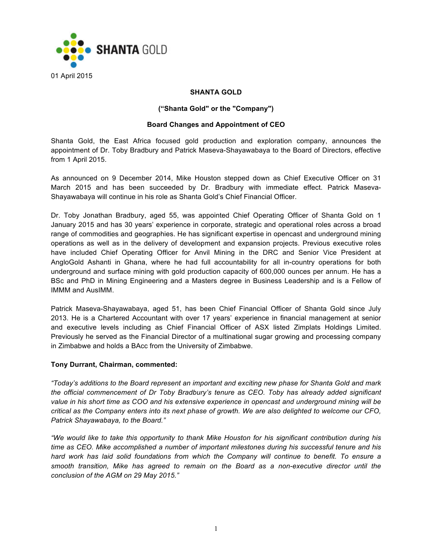

# **SHANTA GOLD**

## **("Shanta Gold" or the "Company")**

## **Board Changes and Appointment of CEO**

Shanta Gold, the East Africa focused gold production and exploration company, announces the appointment of Dr. Toby Bradbury and Patrick Maseva-Shayawabaya to the Board of Directors, effective from 1 April 2015.

As announced on 9 December 2014, Mike Houston stepped down as Chief Executive Officer on 31 March 2015 and has been succeeded by Dr. Bradbury with immediate effect. Patrick Maseva-Shayawabaya will continue in his role as Shanta Gold's Chief Financial Officer.

Dr. Toby Jonathan Bradbury, aged 55, was appointed Chief Operating Officer of Shanta Gold on 1 January 2015 and has 30 years' experience in corporate, strategic and operational roles across a broad range of commodities and geographies. He has significant expertise in opencast and underground mining operations as well as in the delivery of development and expansion projects. Previous executive roles have included Chief Operating Officer for Anvil Mining in the DRC and Senior Vice President at AngloGold Ashanti in Ghana, where he had full accountability for all in-country operations for both underground and surface mining with gold production capacity of 600,000 ounces per annum. He has a BSc and PhD in Mining Engineering and a Masters degree in Business Leadership and is a Fellow of IMMM and AusIMM.

Patrick Maseva-Shayawabaya, aged 51, has been Chief Financial Officer of Shanta Gold since July 2013. He is a Chartered Accountant with over 17 years' experience in financial management at senior and executive levels including as Chief Financial Officer of ASX listed Zimplats Holdings Limited. Previously he served as the Financial Director of a multinational sugar growing and processing company in Zimbabwe and holds a BAcc from the University of Zimbabwe.

### **Tony Durrant, Chairman, commented:**

*"Today's additions to the Board represent an important and exciting new phase for Shanta Gold and mark the official commencement of Dr Toby Bradbury's tenure as CEO. Toby has already added significant value in his short time as COO and his extensive experience in opencast and underground mining will be critical as the Company enters into its next phase of growth. We are also delighted to welcome our CFO, Patrick Shayawabaya, to the Board."*

*"We would like to take this opportunity to thank Mike Houston for his significant contribution during his time as CEO. Mike accomplished a number of important milestones during his successful tenure and his hard work has laid solid foundations from which the Company will continue to benefit. To ensure a smooth transition, Mike has agreed to remain on the Board as a non-executive director until the conclusion of the AGM on 29 May 2015."*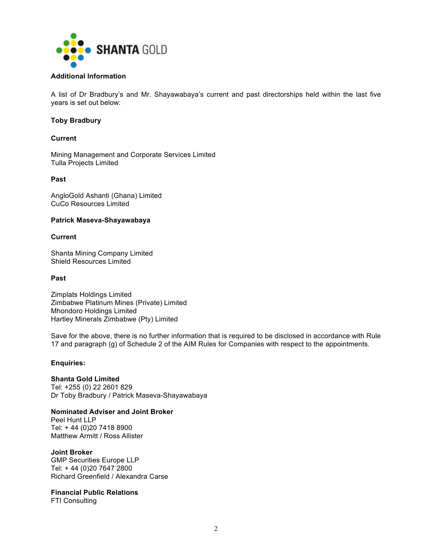

### **Additional Information**

A list of Dr Bradbury's and Mr. Shayawabaya's current and past directorships held within the last five years is set out below:

## **Toby Bradbury**

### **Current**

Mining Management and Corporate Services Limited Tulla Projects Limited

## **Past**

AngloGold Ashanti (Ghana) Limited CuCo Resources Limited

#### **Patrick Maseva-Shayawabaya**

#### **Current**

Shanta Mining Company Limited Shield Resources Limited

#### **Past**

Zimplats Holdings Limited Zimbabwe Platinum Mines (Private) Limited Mhondoro Holdings Limited Hartley Minerals Zimbabwe (Pty) Limited

Save for the above, there is no further information that is required to be disclosed in accordance with Rule 17 and paragraph (g) of Schedule 2 of the AIM Rules for Companies with respect to the appointments.

### **Enquiries:**

**Shanta Gold Limited**  Tel: +255 (0) 22 2601 829 Dr Toby Bradbury / Patrick Maseva-Shayawabaya

**Nominated Adviser and Joint Broker** Peel Hunt LLP Tel: + 44 (0)20 7418 8900 Matthew Armitt / Ross Allister

**Joint Broker**

GMP Securities Europe LLP Tel: + 44 (0)20 7647 2800 Richard Greenfield / Alexandra Carse

**Financial Public Relations**

FTI Consulting